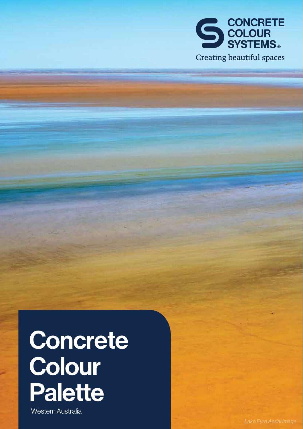

# Concrete Colour Palette

Western Australia

*Lake Eyre Aerial Image*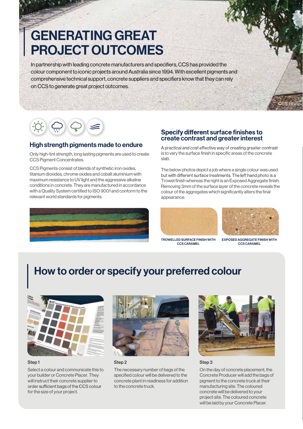# GENERATING GREAT PROJECT OUTCOMES

In partnership with leading concrete manufacturers and specifiers, CCS has provided the colour component to iconic projects around Australia since 1994. With excellent pigments and comprehensive technical support, concrete suppliers and specifiers know that they can rely on CCS to generate great project outcomes.

### High strength pigments made to endure

Only high-tint strength, long lasting pigments are used to create CCS Pigment Concentrates.

CCS Pigments consist of blends of synthetic iron oxides, titanium dioxides, chrome oxides and cobalt aluminium with maximum resistance to UV light and the aggressive alkaline conditions in concrete. They are manufactured in accordance with a Quality System certified to ISO 9001 and conform to the relevant world standards for pigments.



### **Specify different surface finishes to** create contrast and greater interest

A practical and cost effective way of creating greater contrast is to vary the surface finish in specific areas of the concrete slab.

The below photos depict a job where a single colour was used but with different surface treatments. The left hand photo is a Trowel finish whereas the right is an Exposed Aggregate finish. Removing 3mm of the surface layer of the concrete reveals the colour of the aggregates which significantly alters the final appearance.



TROWELLED SURFACE FINISH WITH CCS CARAMEL



CCS: Rhino

EXPOSED AGGREGATE FINISH WITH CCS CARAMEL

### How to order or specify your preferred colour



Select a colour and communicate this to your builder or Concrete Placer. They will instruct their concrete supplier to order sufficient bags of the CCS colour for the size of your project.



Step 1 Step 2 Step 3

The necessary number of bags of the specified colour will be delivered to the concrete plant in readiness for addition to the concrete truck.



On the day of concrete placement, the Concrete Producer will add the bags of pigment to the concrete truck at their manufacturing site. The coloured concrete will be delivered to your project site. The coloured concrete will be laid by your Concrete Placer.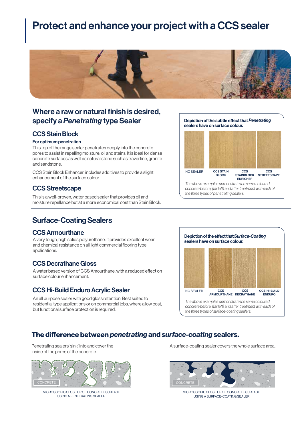# Protect and enhance your project with a CCS sealer



### Where a raw or natural finish is desired, specify a *Penetrating* type Sealer

### **CCS Stain Block**

### For optimum penetration

This top of the range sealer penetrates deeply into the concrete pores to assist in repelling moisture, oil and stains. It is ideal for dense concrete surfaces as well as natural stone such as travertine, granite and sandstone.

CCS Stain Block Enhancer includes additives to provide a slight enhancement of the surface colour.

### CCSStreetscape

This is a well-proven, water based sealer that provides oil and moisture repellance but at a more economical cost than Stain Block.

### **Surface-Coating Sealers**

### CCS Armourthane

A very tough, high solids polyurethane. It provides excellent wear and chemical resistance on all light commercial flooring type applications.

### CCS Decrathane Gloss

A water based version of CCS Amourthane, with a reduced effect on surface colour enhancement.

### CCS Hi-Build Enduro Acrylic Sealer

An all purpose sealer with good gloss retention. Best suited to residential type applications or on commercial jobs, where a low cost, but functional surface protection is required.



## The difference between *penetrating* and *surface-coating* sealers.

Penetrating sealers 'sink' into and cover the inside of the pores of the concrete.



MICROSCOPIC CLOSE UP OF CONCRETE SURFACE USING A PENETRATING SEALER

A surface-coating sealer covers the whole surface area.



MICROSCOPIC CLOSE UP OF CONCRETE SURFACE USING A SURFACE-COATING SEALER

### sealers have on surface colour. **Depiction of the subtle effect that Penetrating**



*The above examples demonstrate the same coloured concrete before, (far left) and after treatment with each of the three types of penetrating sealers.*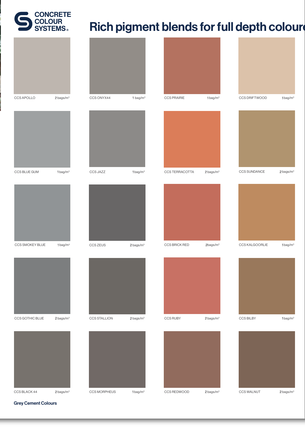

# Rich pigment blends for full depth coloure



Grey Cement Colours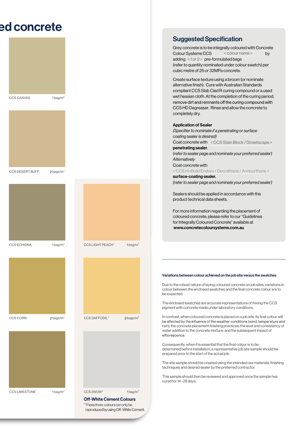# ed concrete





 $CCS$  DESERT BUFF  $2$  bags/m<sup>3</sup>











 $CCS$  SNOW\* 1bag/m<sup>3</sup>

### **Off-White Cement Colours**

\*Thesethree colourscan onlybereproduced by using Off-White Cement.

### **Suggested Specification**

Grey concrete is to be integrally coloured with Concrete Colour Systems CCS <colour name> by adding  $\langle$  1 or 2 > pre-formulated bags (refer to quantity nominated under colour swatch) per cubic metre of 25 or 32MPa concrete. < colour name >

Create surface texture using a broom (or nominate alternative finish). Cure with Australian Standards compliant CCS Slab Clad R curing compound or a used wet hessian cloth. At the completion of the curing period, remove dirt and remnants off the curing compound with CCS HD Degreaser. Rinse and allow the concrete to completely dry.

### Application of Sealer

*(Specifier to nominate if a penetrating or surface coating sealer is desired)* Coat concrete with < CCS Stain Block / Streetscape > penetrating sealer. *(refer to sealer page and nominate your preferred sealer) Alternatively*  Coat concrete with < CCS Hi-Build Enduro / Decrathane / Armourthane > surface-coating sealer. *(refer to sealer page and nominate your preferred sealer)*

Sealers should be applied in accordance with the product technical data sheets.

For more information regarding the placement of coloured concrete, please refer to our "Guidelines for Integrally Coloured Concrete" available at www.concretecoloursystems.com.au

### Variations between colour achieved on the job site versus the swatches

Due to the robust nature of laying coloured concrete on job sites, variations in colour between the enclosed swatches and the final concrete colour are to be expected.

The enclosed swatches are accurate representations of mixing the CCS pigment with concrete made under laboratory conditions.

In contrast, when coloured concrete is placed on a job site, its final colour will rain); the concrete placement finishing practices; the level and consistency of water addition to the concrete mixture; and the subsequent impact of efflorescence.

Consequently, when it is essential that the final colour is to be determined before installation, a representative job site sample should be prepared prior to the start of the actual job.

The site sample should be created using the intended raw materials, finishing techniques and desired sealer by the preferred contractor.

This sample should then be reviewed and approved once the sample has cured for 14 -28 days.